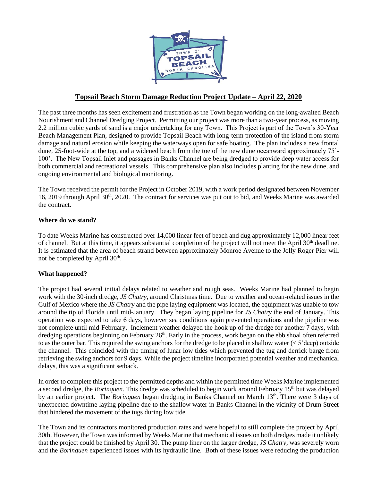

# **Topsail Beach Storm Damage Reduction Project Update – April 22, 2020**

The past three months has seen excitement and frustration as the Town began working on the long-awaited Beach Nourishment and Channel Dredging Project. Permitting our project was more than a two-year process, as moving 2.2 million cubic yards of sand is a major undertaking for any Town. This Project is part of the Town's 30-Year Beach Management Plan, designed to provide Topsail Beach with long-term protection of the island from storm damage and natural erosion while keeping the waterways open for safe boating. The plan includes a new frontal dune, 25-foot-wide at the top, and a widened beach from the toe of the new dune oceanward approximately 75'- 100'. The New Topsail Inlet and passages in Banks Channel are being dredged to provide deep water access for both commercial and recreational vessels. This comprehensive plan also includes planting for the new dune, and ongoing environmental and biological monitoring.

The Town received the permit for the Project in October 2019, with a work period designated between November 16, 2019 through April 30<sup>th</sup>, 2020. The contract for services was put out to bid, and Weeks Marine was awarded the contract.

## **Where do we stand?**

To date Weeks Marine has constructed over 14,000 linear feet of beach and dug approximately 12,000 linear feet of channel. But at this time, it appears substantial completion of the project will not meet the April 30<sup>th</sup> deadline. It is estimated that the area of beach strand between approximately Monroe Avenue to the Jolly Roger Pier will not be completed by April 30<sup>th</sup>.

## **What happened?**

The project had several initial delays related to weather and rough seas. Weeks Marine had planned to begin work with the 30-inch dredge, *JS Chatry*, around Christmas time. Due to weather and ocean-related issues in the Gulf of Mexico where the *JS Chatry* and the pipe laying equipment was located, the equipment was unable to tow around the tip of Florida until mid-January. They began laying pipeline for *JS Chatry* the end of January. This operation was expected to take 6 days, however sea conditions again prevented operations and the pipeline was not complete until mid-February. Inclement weather delayed the hook up of the dredge for another 7 days, with dredging operations beginning on February 26<sup>th</sup>. Early in the process, work began on the ebb shoal often referred to as the outer bar. This required the swing anchors for the dredge to be placed in shallow water  $(< 5'$  deep) outside the channel. This coincided with the timing of lunar low tides which prevented the tug and derrick barge from retrieving the swing anchors for 9 days. While the project timeline incorporated potential weather and mechanical delays, this was a significant setback.

In order to complete this project to the permitted depths and within the permitted time Weeks Marine implemented a second dredge, the *Borinquen*. This dredge was scheduled to begin work around February 15<sup>th</sup> but was delayed by an earlier project. The *Borinquen* began dredging in Banks Channel on March 13<sup>th</sup>. There were 3 days of unexpected downtime laying pipeline due to the shallow water in Banks Channel in the vicinity of Drum Street that hindered the movement of the tugs during low tide.

The Town and its contractors monitored production rates and were hopeful to still complete the project by April 30th. However, the Town was informed by Weeks Marine that mechanical issues on both dredges made it unlikely that the project could be finished by April 30. The pump liner on the larger dredge, *JS Chatry*, was severely worn and the *Borinquen* experienced issues with its hydraulic line. Both of these issues were reducing the production